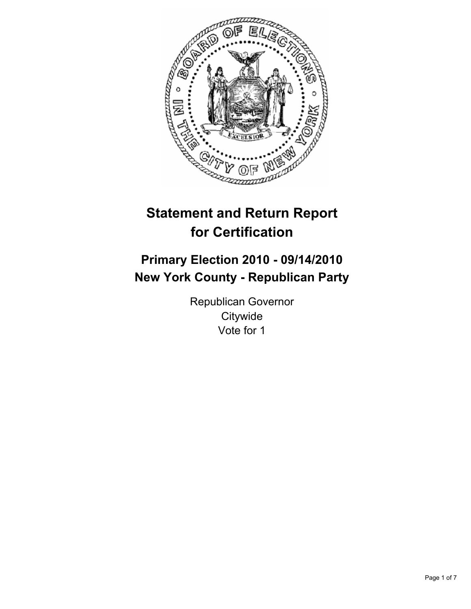

# **Statement and Return Report for Certification**

# **Primary Election 2010 - 09/14/2010 New York County - Republican Party**

Republican Governor **Citywide** Vote for 1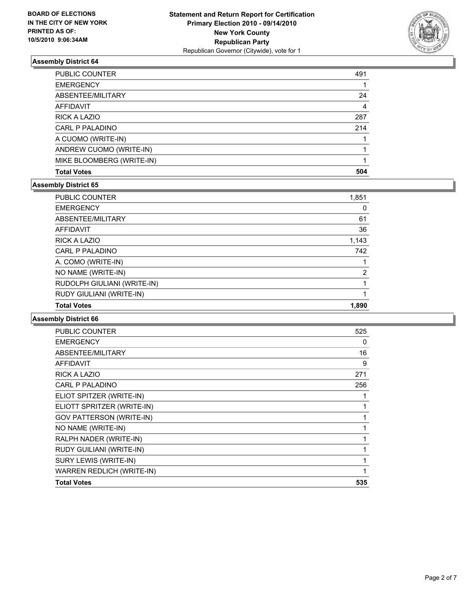

| <b>Total Votes</b>        | 504 |
|---------------------------|-----|
| MIKE BLOOMBERG (WRITE-IN) |     |
| ANDREW CUOMO (WRITE-IN)   |     |
| A CUOMO (WRITE-IN)        |     |
| CARL P PALADINO           | 214 |
| RICK A LAZIO              | 287 |
| <b>AFFIDAVIT</b>          | 4   |
| ABSENTEE/MILITARY         | 24  |
| <b>EMERGENCY</b>          |     |
| PUBLIC COUNTER            | 491 |

#### **Assembly District 65**

| 1,851 |
|-------|
| 0     |
| 61    |
| 36    |
| 1,143 |
| 742   |
| 1     |
| 2     |
|       |
| 1     |
| 1,890 |
|       |

| <b>Total Votes</b>              | 535          |
|---------------------------------|--------------|
| WARREN REDLICH (WRITE-IN)       | 1            |
| SURY LEWIS (WRITE-IN)           | $\mathbf{1}$ |
| RUDY GUILIANI (WRITE-IN)        | 1            |
| RALPH NADER (WRITE-IN)          | 1            |
| NO NAME (WRITE-IN)              | 1            |
| <b>GOV PATTERSON (WRITE-IN)</b> | 1            |
| ELIOTT SPRITZER (WRITE-IN)      | 1            |
| ELIOT SPITZER (WRITE-IN)        | 1            |
| CARL P PALADINO                 | 256          |
| <b>RICK A LAZIO</b>             | 271          |
| <b>AFFIDAVIT</b>                | 9            |
| ABSENTEE/MILITARY               | 16           |
| <b>EMERGENCY</b>                | 0            |
| PUBLIC COUNTER                  | 525          |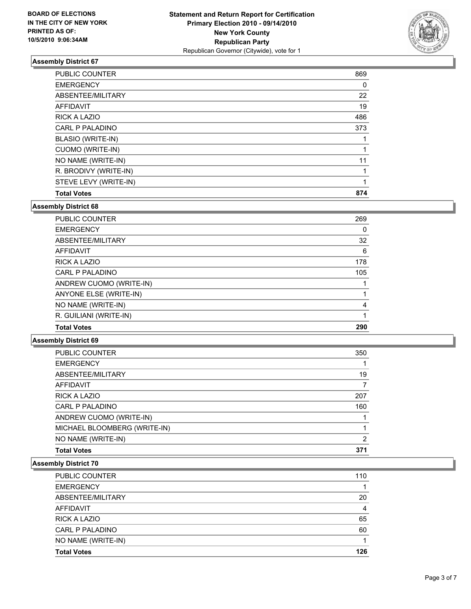

| PUBLIC COUNTER        | 869 |
|-----------------------|-----|
| <b>EMERGENCY</b>      | 0   |
| ABSENTEE/MILITARY     | 22  |
| <b>AFFIDAVIT</b>      | 19  |
| RICK A LAZIO          | 486 |
| CARL P PALADINO       | 373 |
| BLASIO (WRITE-IN)     |     |
| CUOMO (WRITE-IN)      |     |
| NO NAME (WRITE-IN)    | 11  |
| R. BRODIVY (WRITE-IN) |     |
| STEVE LEVY (WRITE-IN) |     |
| <b>Total Votes</b>    | 874 |

**Assembly District 68**

| <b>PUBLIC COUNTER</b>   | 269 |
|-------------------------|-----|
| <b>EMERGENCY</b>        | 0   |
| ABSENTEE/MILITARY       | 32  |
| <b>AFFIDAVIT</b>        | 6   |
| <b>RICK A LAZIO</b>     | 178 |
| CARL P PALADINO         | 105 |
| ANDREW CUOMO (WRITE-IN) |     |
| ANYONE ELSE (WRITE-IN)  |     |
| NO NAME (WRITE-IN)      | 4   |
| R. GUILIANI (WRITE-IN)  |     |
| <b>Total Votes</b>      | 290 |

## **Assembly District 69**

| PUBLIC COUNTER               | 350 |
|------------------------------|-----|
| <b>EMERGENCY</b>             |     |
| ABSENTEE/MILITARY            | 19  |
| <b>AFFIDAVIT</b>             |     |
| <b>RICK A LAZIO</b>          | 207 |
| CARL P PALADINO              | 160 |
| ANDREW CUOMO (WRITE-IN)      |     |
| MICHAEL BLOOMBERG (WRITE-IN) |     |
| NO NAME (WRITE-IN)           | 2   |
| <b>Total Votes</b>           | 371 |

| <b>PUBLIC COUNTER</b> | 110 |
|-----------------------|-----|
| <b>EMERGENCY</b>      |     |
| ABSENTEE/MILITARY     | 20  |
| AFFIDAVIT             | 4   |
| <b>RICK A LAZIO</b>   | 65  |
| CARL P PALADINO       | 60  |
| NO NAME (WRITE-IN)    |     |
| <b>Total Votes</b>    | 126 |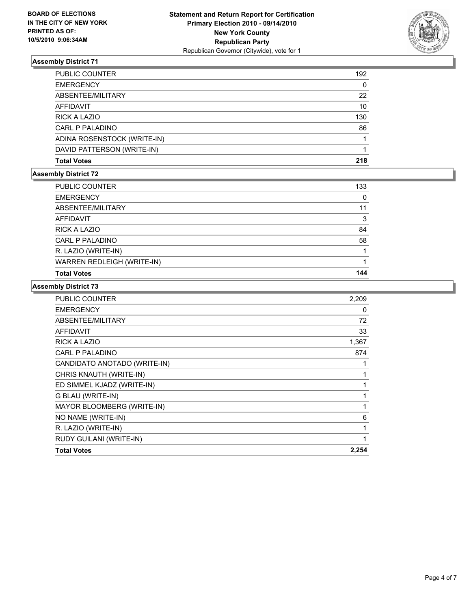

| PUBLIC COUNTER              | 192 |
|-----------------------------|-----|
| <b>EMERGENCY</b>            | 0   |
| ABSENTEE/MILITARY           | 22  |
| AFFIDAVIT                   | 10  |
| <b>RICK A LAZIO</b>         | 130 |
| CARL P PALADINO             | 86  |
| ADINA ROSENSTOCK (WRITE-IN) |     |
| DAVID PATTERSON (WRITE-IN)  |     |
| <b>Total Votes</b>          | 218 |

## **Assembly District 72**

| PUBLIC COUNTER                    | 133 |
|-----------------------------------|-----|
| <b>EMERGENCY</b>                  | 0   |
| ABSENTEE/MILITARY                 | 11  |
| AFFIDAVIT                         | 3   |
| <b>RICK A LAZIO</b>               | 84  |
| CARL P PALADINO                   | 58  |
| R. LAZIO (WRITE-IN)               |     |
| <b>WARREN REDLEIGH (WRITE-IN)</b> |     |
| <b>Total Votes</b>                | 144 |

| <b>PUBLIC COUNTER</b>        | 2,209        |
|------------------------------|--------------|
| <b>EMERGENCY</b>             | 0            |
| ABSENTEE/MILITARY            | 72           |
| <b>AFFIDAVIT</b>             | 33           |
| <b>RICK A LAZIO</b>          | 1,367        |
| CARL P PALADINO              | 874          |
| CANDIDATO ANOTADO (WRITE-IN) | 1            |
| CHRIS KNAUTH (WRITE-IN)      | 1            |
| ED SIMMEL KJADZ (WRITE-IN)   | 1            |
| G BLAU (WRITE-IN)            | 1            |
| MAYOR BLOOMBERG (WRITE-IN)   | 1            |
| NO NAME (WRITE-IN)           | 6            |
| R. LAZIO (WRITE-IN)          | $\mathbf{1}$ |
| RUDY GUILANI (WRITE-IN)      | 1            |
| <b>Total Votes</b>           | 2,254        |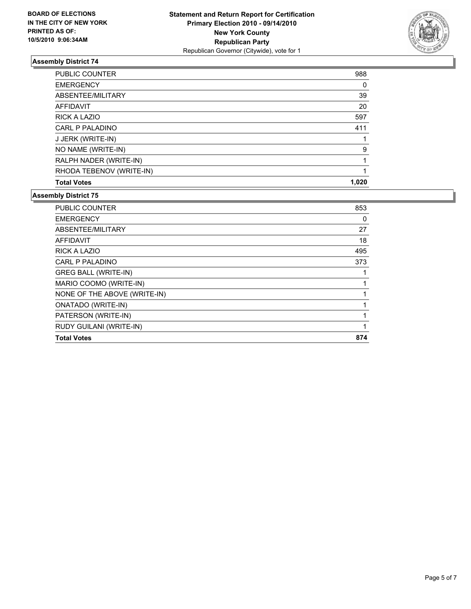

| <b>PUBLIC COUNTER</b>    | 988   |
|--------------------------|-------|
| <b>EMERGENCY</b>         | 0     |
| ABSENTEE/MILITARY        | 39    |
| <b>AFFIDAVIT</b>         | 20    |
| RICK A LAZIO             | 597   |
| CARL P PALADINO          | 411   |
| J JERK (WRITE-IN)        |       |
| NO NAME (WRITE-IN)       | 9     |
| RALPH NADER (WRITE-IN)   |       |
| RHODA TEBENOV (WRITE-IN) |       |
| <b>Total Votes</b>       | 1.020 |

| CARL P PALADINO<br><b>GREG BALL (WRITE-IN)</b> | 373 |
|------------------------------------------------|-----|
| MARIO COOMO (WRITE-IN)                         |     |
| NONE OF THE ABOVE (WRITE-IN)                   |     |
| <b>ONATADO (WRITE-IN)</b>                      |     |
| PATERSON (WRITE-IN)                            |     |
| RUDY GUILANI (WRITE-IN)                        | 1   |
| <b>Total Votes</b>                             | 874 |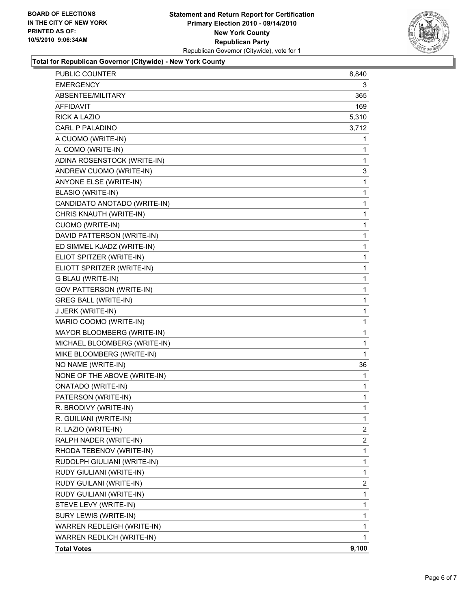

## **Total for Republican Governor (Citywide) - New York County**

| <b>PUBLIC COUNTER</b>           | 8,840          |
|---------------------------------|----------------|
| <b>EMERGENCY</b>                | 3              |
| ABSENTEE/MILITARY               | 365            |
| <b>AFFIDAVIT</b>                | 169            |
| <b>RICK A LAZIO</b>             | 5,310          |
| CARL P PALADINO                 | 3,712          |
| A CUOMO (WRITE-IN)              | 1              |
| A. COMO (WRITE-IN)              | 1              |
| ADINA ROSENSTOCK (WRITE-IN)     | 1              |
| ANDREW CUOMO (WRITE-IN)         | 3              |
| ANYONE ELSE (WRITE-IN)          | 1              |
| <b>BLASIO (WRITE-IN)</b>        | 1              |
| CANDIDATO ANOTADO (WRITE-IN)    | 1              |
| CHRIS KNAUTH (WRITE-IN)         | 1              |
| CUOMO (WRITE-IN)                | 1              |
| DAVID PATTERSON (WRITE-IN)      | 1              |
| ED SIMMEL KJADZ (WRITE-IN)      | 1              |
| ELIOT SPITZER (WRITE-IN)        | 1              |
| ELIOTT SPRITZER (WRITE-IN)      | 1              |
| G BLAU (WRITE-IN)               | 1              |
| <b>GOV PATTERSON (WRITE-IN)</b> | 1              |
| <b>GREG BALL (WRITE-IN)</b>     | 1              |
| J JERK (WRITE-IN)               | 1              |
| MARIO COOMO (WRITE-IN)          | 1              |
| MAYOR BLOOMBERG (WRITE-IN)      | 1              |
| MICHAEL BLOOMBERG (WRITE-IN)    | 1              |
| MIKE BLOOMBERG (WRITE-IN)       | 1              |
| NO NAME (WRITE-IN)              | 36             |
| NONE OF THE ABOVE (WRITE-IN)    | 1              |
| <b>ONATADO (WRITE-IN)</b>       | 1              |
| PATERSON (WRITE-IN)             | 1              |
| R. BRODIVY (WRITE-IN)           | 1              |
| R. GUILIANI (WRITE-IN)          | $\mathbf{1}$   |
| R. LAZIO (WRITE-IN)             | $\mathbf{2}$   |
| RALPH NADER (WRITE-IN)          | $\overline{2}$ |
| RHODA TEBENOV (WRITE-IN)        | 1              |
| RUDOLPH GIULIANI (WRITE-IN)     | 1              |
| RUDY GIULIANI (WRITE-IN)        | 1              |
| RUDY GUILANI (WRITE-IN)         | 2              |
| RUDY GUILIANI (WRITE-IN)        | 1              |
| STEVE LEVY (WRITE-IN)           | 1              |
| SURY LEWIS (WRITE-IN)           | 1              |
| WARREN REDLEIGH (WRITE-IN)      | 1              |
| WARREN REDLICH (WRITE-IN)       | 1              |
| <b>Total Votes</b>              | 9,100          |